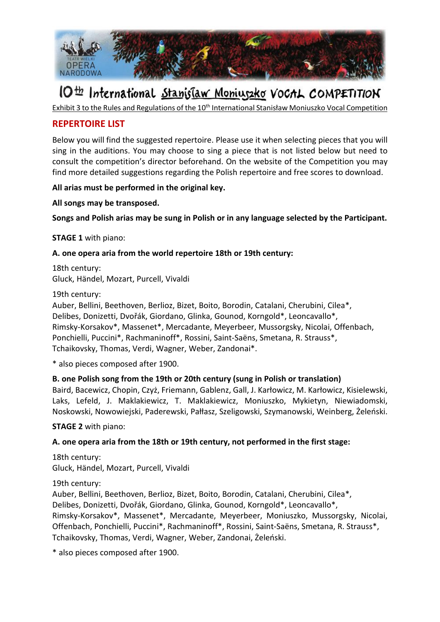

# IO<sup>th</sup> International Stanislaw Moniuszko VoCAL COMPETITION

Exhibit 3 to the Rules and Regulations of the 10<sup>th</sup> International Stanisław Moniuszko Vocal Competition

## **REPERTOIRE LIST**

Below you will find the suggested repertoire. Please use it when selecting pieces that you will sing in the auditions. You may choose to sing a piece that is not listed below but need to consult the competition's director beforehand. On the website of the Competition you may find more detailed suggestions regarding the Polish repertoire and free scores to download.

**All arias must be performed in the original key.**

**All songs may be transposed.**

**Songs and Polish arias may be sung in Polish or in any language selected by the Participant.**

**STAGE 1** with piano:

### **A. one opera aria from the world repertoire 18th or 19th century:**

18th century: Gluck, Händel, Mozart, Purcell, Vivaldi

19th century:

Auber, Bellini, Beethoven, Berlioz, Bizet, Boito, Borodin, Catalani, Cherubini, Cilea\*, Delibes, Donizetti, Dvořák, Giordano, Glinka, Gounod, Korngold\*, Leoncavallo\*, Rimsky-Korsakov\*, Massenet\*, Mercadante, Meyerbeer, Mussorgsky, Nicolai, Offenbach, Ponchielli, Puccini\*, Rachmaninoff\*, Rossini, Saint-Saëns, Smetana, R. Strauss\*, Tchaikovsky, Thomas, Verdi, Wagner, Weber, Zandonai\*.

\* also pieces composed after 1900.

## **B. one Polish song from the 19th or 20th century (sung in Polish or translation)**

Baird, Bacewicz, Chopin, Czyż, Friemann, Gablenz, Gall, J. Karłowicz, M. Karłowicz, Kisielewski, Laks, Lefeld, J. Maklakiewicz, T. Maklakiewicz, Moniuszko, Mykietyn, Niewiadomski, Noskowski, Nowowiejski, Paderewski, Pałłasz, Szeligowski, Szymanowski, Weinberg, Żeleński.

**STAGE 2** with piano:

## **A. one opera aria from the 18th or 19th century, not performed in the first stage:**

18th century: Gluck, Händel, Mozart, Purcell, Vivaldi

19th century:

Auber, Bellini, Beethoven, Berlioz, Bizet, Boito, Borodin, Catalani, Cherubini, Cilea\*, Delibes, Donizetti, Dvořák, Giordano, Glinka, Gounod, Korngold\*, Leoncavallo\*, Rimsky-Korsakov\*, Massenet\*, Mercadante, Meyerbeer, Moniuszko, Mussorgsky, Nicolai, Offenbach, Ponchielli, Puccini\*, Rachmaninoff\*, Rossini, Saint-Saëns, Smetana, R. Strauss\*, Tchaikovsky, Thomas, Verdi, Wagner, Weber, Zandonai, Żeleński.

\* also pieces composed after 1900.